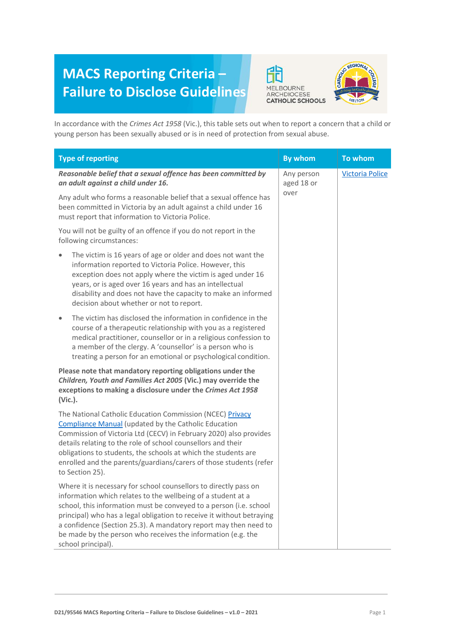## **MACS Reporting Criteria – Failure to Disclose Guidelines**





In accordance with the *Crimes Act 1958* (Vic.), this table sets out when to report a concern that a child or young person has been sexually abused or is in need of protection from sexual abuse.

| <b>Type of reporting</b>                                                                                                                                                                                                                                                                                                                                                                                                                  | <b>By whom</b>                   | To whom                |
|-------------------------------------------------------------------------------------------------------------------------------------------------------------------------------------------------------------------------------------------------------------------------------------------------------------------------------------------------------------------------------------------------------------------------------------------|----------------------------------|------------------------|
| Reasonable belief that a sexual offence has been committed by<br>an adult against a child under 16.                                                                                                                                                                                                                                                                                                                                       | Any person<br>aged 18 or<br>over | <b>Victoria Police</b> |
| Any adult who forms a reasonable belief that a sexual offence has<br>been committed in Victoria by an adult against a child under 16<br>must report that information to Victoria Police.                                                                                                                                                                                                                                                  |                                  |                        |
| You will not be guilty of an offence if you do not report in the<br>following circumstances:                                                                                                                                                                                                                                                                                                                                              |                                  |                        |
| The victim is 16 years of age or older and does not want the<br>information reported to Victoria Police. However, this<br>exception does not apply where the victim is aged under 16<br>years, or is aged over 16 years and has an intellectual<br>disability and does not have the capacity to make an informed<br>decision about whether or not to report.                                                                              |                                  |                        |
| The victim has disclosed the information in confidence in the<br>$\bullet$<br>course of a therapeutic relationship with you as a registered<br>medical practitioner, counsellor or in a religious confession to<br>a member of the clergy. A 'counsellor' is a person who is<br>treating a person for an emotional or psychological condition.                                                                                            |                                  |                        |
| Please note that mandatory reporting obligations under the<br>Children, Youth and Families Act 2005 (Vic.) may override the<br>exceptions to making a disclosure under the Crimes Act 1958<br>(Vic.).                                                                                                                                                                                                                                     |                                  |                        |
| The National Catholic Education Commission (NCEC) Privacy<br><b>Compliance Manual (updated by the Catholic Education</b><br>Commission of Victoria Ltd (CECV) in February 2020) also provides<br>details relating to the role of school counsellors and their<br>obligations to students, the schools at which the students are<br>enrolled and the parents/guardians/carers of those students (refer<br>to Section 25).                  |                                  |                        |
| Where it is necessary for school counsellors to directly pass on<br>information which relates to the wellbeing of a student at a<br>school, this information must be conveyed to a person (i.e. school<br>principal) who has a legal obligation to receive it without betraying<br>a confidence (Section 25.3). A mandatory report may then need to<br>be made by the person who receives the information (e.g. the<br>school principal). |                                  |                        |